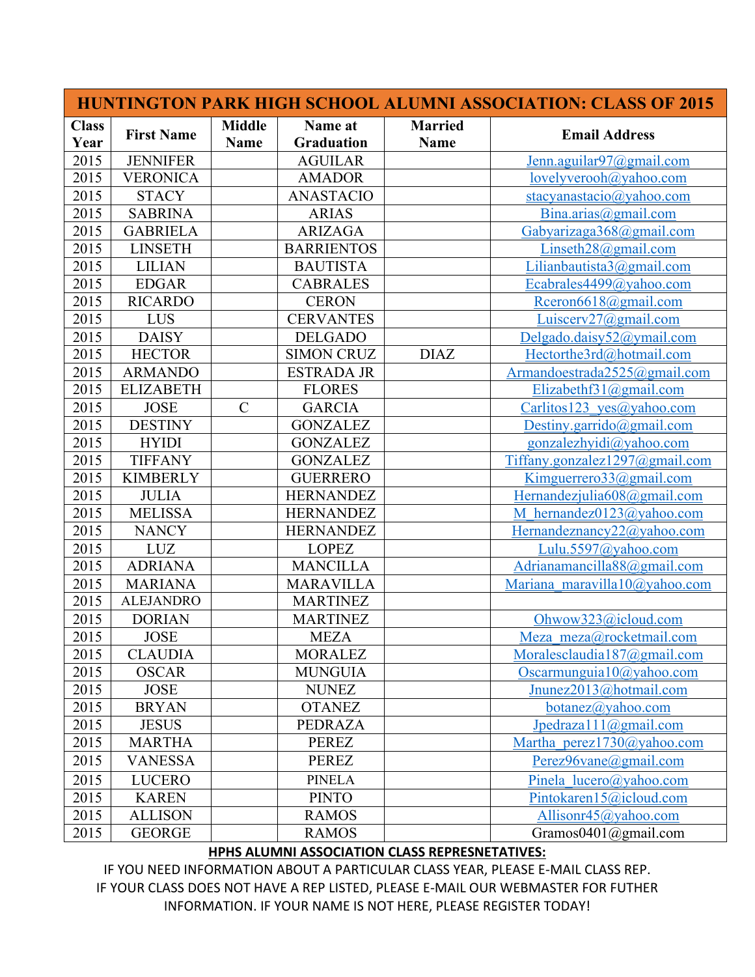| <b>HUNTINGTON PARK HIGH SCHOOL ALUMNI ASSOCIATION: CLASS OF 2015</b> |                   |                              |                              |                               |                                    |  |  |  |
|----------------------------------------------------------------------|-------------------|------------------------------|------------------------------|-------------------------------|------------------------------------|--|--|--|
| <b>Class</b><br>Year                                                 | <b>First Name</b> | <b>Middle</b><br><b>Name</b> | Name at<br><b>Graduation</b> | <b>Married</b><br><b>Name</b> | <b>Email Address</b>               |  |  |  |
| 2015                                                                 | <b>JENNIFER</b>   |                              | <b>AGUILAR</b>               |                               | Jenn.aguilar97@gmail.com           |  |  |  |
| 2015                                                                 | <b>VERONICA</b>   |                              | <b>AMADOR</b>                |                               | lovelyverooh@yahoo.com             |  |  |  |
| 2015                                                                 | <b>STACY</b>      |                              | <b>ANASTACIO</b>             |                               | stacyanastacio@yahoo.com           |  |  |  |
| 2015                                                                 | <b>SABRINA</b>    |                              | <b>ARIAS</b>                 |                               | Bina.arias@gmail.com               |  |  |  |
| 2015                                                                 | <b>GABRIELA</b>   |                              | <b>ARIZAGA</b>               |                               | Gabyarizaga368@gmail.com           |  |  |  |
| 2015                                                                 | <b>LINSETH</b>    |                              | <b>BARRIENTOS</b>            |                               | Linseth $28@$ gmail.com            |  |  |  |
| 2015                                                                 | <b>LILIAN</b>     |                              | <b>BAUTISTA</b>              |                               | Lilianbautista3@gmail.com          |  |  |  |
| 2015                                                                 | <b>EDGAR</b>      |                              | <b>CABRALES</b>              |                               | Ecabrales4499@yahoo.com            |  |  |  |
| 2015                                                                 | <b>RICARDO</b>    |                              | <b>CERON</b>                 |                               | Rceron6618@gmail.com               |  |  |  |
| 2015                                                                 | LUS               |                              | <b>CERVANTES</b>             |                               | Luiscerv $27$ @gmail.com           |  |  |  |
| 2015                                                                 | <b>DAISY</b>      |                              | <b>DELGADO</b>               |                               | Delgado.daisy52@ymail.com          |  |  |  |
| 2015                                                                 | <b>HECTOR</b>     |                              | <b>SIMON CRUZ</b>            | <b>DIAZ</b>                   | Hectorthe3rd@hotmail.com           |  |  |  |
| 2015                                                                 | <b>ARMANDO</b>    |                              | <b>ESTRADA JR</b>            |                               | Armandoestrada2525@gmail.com       |  |  |  |
| 2015                                                                 | <b>ELIZABETH</b>  |                              | <b>FLORES</b>                |                               | Elizabethf31@gmail.com             |  |  |  |
| 2015                                                                 | <b>JOSE</b>       | $\mathbf C$                  | <b>GARCIA</b>                |                               | Carlitos123 yes@yahoo.com          |  |  |  |
| 2015                                                                 | <b>DESTINY</b>    |                              | <b>GONZALEZ</b>              |                               | Destiny.garrido@gmail.com          |  |  |  |
| 2015                                                                 | <b>HYIDI</b>      |                              | <b>GONZALEZ</b>              |                               | gonzalezhyidi@yahoo.com            |  |  |  |
| 2015                                                                 | <b>TIFFANY</b>    |                              | <b>GONZALEZ</b>              |                               | Tiffany.gonzalez $1297$ @gmail.com |  |  |  |
| 2015                                                                 | <b>KIMBERLY</b>   |                              | <b>GUERRERO</b>              |                               | Kimguerrero33@gmail.com            |  |  |  |
| 2015                                                                 | <b>JULIA</b>      |                              | <b>HERNANDEZ</b>             |                               | Hernandezjulia608@gmail.com        |  |  |  |
| 2015                                                                 | <b>MELISSA</b>    |                              | <b>HERNANDEZ</b>             |                               | M hernandez0123@yahoo.com          |  |  |  |
| 2015                                                                 | <b>NANCY</b>      |                              | <b>HERNANDEZ</b>             |                               | Hernandeznancy22@yahoo.com         |  |  |  |
| 2015                                                                 | <b>LUZ</b>        |                              | <b>LOPEZ</b>                 |                               | Lulu.5597@yahoo.com                |  |  |  |
| 2015                                                                 | <b>ADRIANA</b>    |                              | <b>MANCILLA</b>              |                               | Adrianamancilla88@gmail.com        |  |  |  |
| 2015                                                                 | <b>MARIANA</b>    |                              | <b>MARAVILLA</b>             |                               | Mariana maravilla10@yahoo.com      |  |  |  |
| 2015                                                                 | <b>ALEJANDRO</b>  |                              | <b>MARTINEZ</b>              |                               |                                    |  |  |  |
| 2015                                                                 | <b>DORIAN</b>     |                              | <b>MARTINEZ</b>              |                               | Ohwow323@icloud.com                |  |  |  |
| 2015                                                                 | <b>JOSE</b>       |                              | <b>MEZA</b>                  |                               | Meza meza@rocketmail.com           |  |  |  |
| 2015                                                                 | <b>CLAUDIA</b>    |                              | <b>MORALEZ</b>               |                               | Moralesclaudia187@gmail.com        |  |  |  |
| 2015                                                                 | <b>OSCAR</b>      |                              | <b>MUNGUIA</b>               |                               | Oscarmunguia $10$ @yahoo.com       |  |  |  |
| 2015                                                                 | <b>JOSE</b>       |                              | <b>NUNEZ</b>                 |                               | Jnunez2013@hotmail.com             |  |  |  |
| 2015                                                                 | <b>BRYAN</b>      |                              | <b>OTANEZ</b>                |                               | $botanez(a)$ yahoo.com             |  |  |  |
| 2015                                                                 | <b>JESUS</b>      |                              | PEDRAZA                      |                               | Jpedraza111@gmail.com              |  |  |  |
| 2015                                                                 | <b>MARTHA</b>     |                              | <b>PEREZ</b>                 |                               | Martha perez1730@yahoo.com         |  |  |  |
| 2015                                                                 | <b>VANESSA</b>    |                              | <b>PEREZ</b>                 |                               | Perez96vane@gmail.com              |  |  |  |
| 2015                                                                 | <b>LUCERO</b>     |                              | <b>PINELA</b>                |                               | Pinela lucero@yahoo.com            |  |  |  |
| 2015                                                                 | <b>KAREN</b>      |                              | <b>PINTO</b>                 |                               | Pintokaren15@icloud.com            |  |  |  |
| 2015                                                                 | <b>ALLISON</b>    |                              | <b>RAMOS</b>                 |                               | Allisonr $45$ @yahoo.com           |  |  |  |
| 2015                                                                 | <b>GEORGE</b>     |                              | <b>RAMOS</b>                 |                               | Gramos $0401$ @gmail.com           |  |  |  |

## **HPHS ALUMNI ASSOCIATION CLASS REPRESNETATIVES:**

IF YOU NEED INFORMATION ABOUT A PARTICULAR CLASS YEAR, PLEASE E-MAIL CLASS REP. IF YOUR CLASS DOES NOT HAVE A REP LISTED, PLEASE E-MAIL OUR WEBMASTER FOR FUTHER INFORMATION. IF YOUR NAME IS NOT HERE, PLEASE REGISTER TODAY!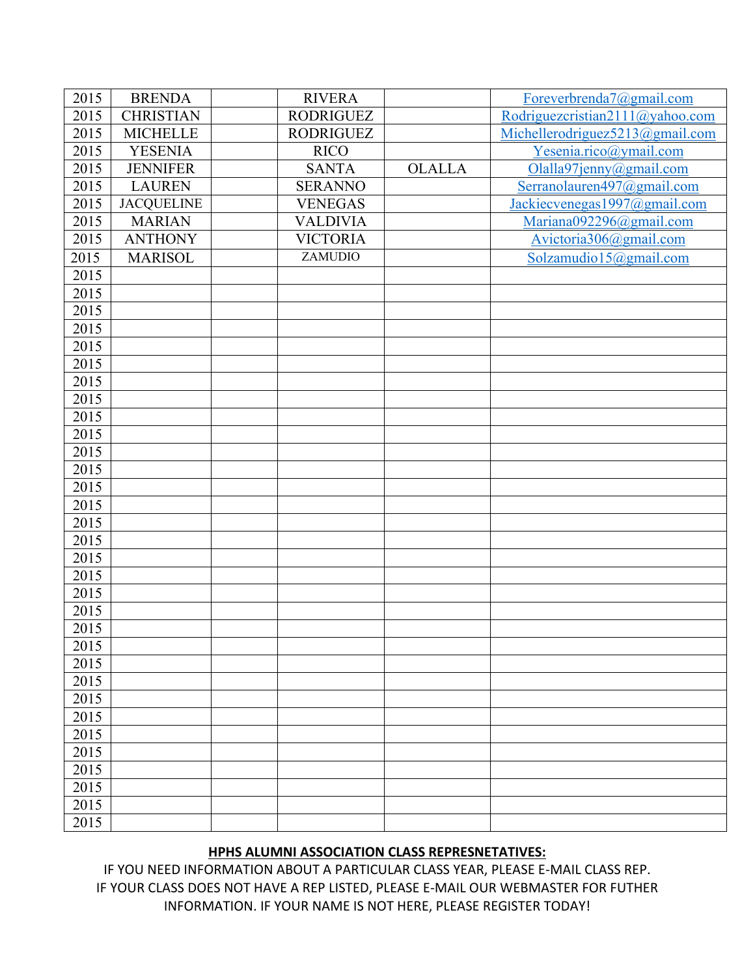| 2015 | <b>BRENDA</b>     | <b>RIVERA</b>    |               | Foreverbrenda7@gmail.com        |
|------|-------------------|------------------|---------------|---------------------------------|
| 2015 | <b>CHRISTIAN</b>  | <b>RODRIGUEZ</b> |               | Rodriguezcristian2111@yahoo.com |
| 2015 | <b>MICHELLE</b>   | <b>RODRIGUEZ</b> |               | Michellerodriguez5213@gmail.com |
| 2015 | <b>YESENIA</b>    | <b>RICO</b>      |               | Yesenia.rico@ymail.com          |
| 2015 | <b>JENNIFER</b>   | <b>SANTA</b>     | <b>OLALLA</b> | Olalla97jenny@gmail.com         |
| 2015 | <b>LAUREN</b>     | <b>SERANNO</b>   |               | Serranolauren497@gmail.com      |
| 2015 | <b>JACQUELINE</b> | <b>VENEGAS</b>   |               | Jackiecvenegas1997@gmail.com    |
| 2015 | <b>MARIAN</b>     | <b>VALDIVIA</b>  |               | Mariana092296@gmail.com         |
| 2015 | <b>ANTHONY</b>    | <b>VICTORIA</b>  |               | Avictoria306@gmail.com          |
| 2015 | <b>MARISOL</b>    | ZAMUDIO          |               | Solzamudio15@gmail.com          |
| 2015 |                   |                  |               |                                 |
| 2015 |                   |                  |               |                                 |
| 2015 |                   |                  |               |                                 |
| 2015 |                   |                  |               |                                 |
| 2015 |                   |                  |               |                                 |
| 2015 |                   |                  |               |                                 |
| 2015 |                   |                  |               |                                 |
| 2015 |                   |                  |               |                                 |
| 2015 |                   |                  |               |                                 |
| 2015 |                   |                  |               |                                 |
| 2015 |                   |                  |               |                                 |
| 2015 |                   |                  |               |                                 |
| 2015 |                   |                  |               |                                 |
| 2015 |                   |                  |               |                                 |
| 2015 |                   |                  |               |                                 |
| 2015 |                   |                  |               |                                 |
| 2015 |                   |                  |               |                                 |
| 2015 |                   |                  |               |                                 |
| 2015 |                   |                  |               |                                 |
| 2015 |                   |                  |               |                                 |
| 2015 |                   |                  |               |                                 |
| 2015 |                   |                  |               |                                 |
| 2015 |                   |                  |               |                                 |
| 2015 |                   |                  |               |                                 |
| 2015 |                   |                  |               |                                 |
| 2015 |                   |                  |               |                                 |
| 2015 |                   |                  |               |                                 |
| 2015 |                   |                  |               |                                 |
| 2015 |                   |                  |               |                                 |
| 2015 |                   |                  |               |                                 |
| 2015 |                   |                  |               |                                 |
| 2015 |                   |                  |               |                                 |

## **HPHS ALUMNI ASSOCIATION CLASS REPRESNETATIVES:**

IF YOU NEED INFORMATION ABOUT A PARTICULAR CLASS YEAR, PLEASE E-MAIL CLASS REP. IF YOUR CLASS DOES NOT HAVE A REP LISTED, PLEASE E-MAIL OUR WEBMASTER FOR FUTHER INFORMATION. IF YOUR NAME IS NOT HERE, PLEASE REGISTER TODAY!